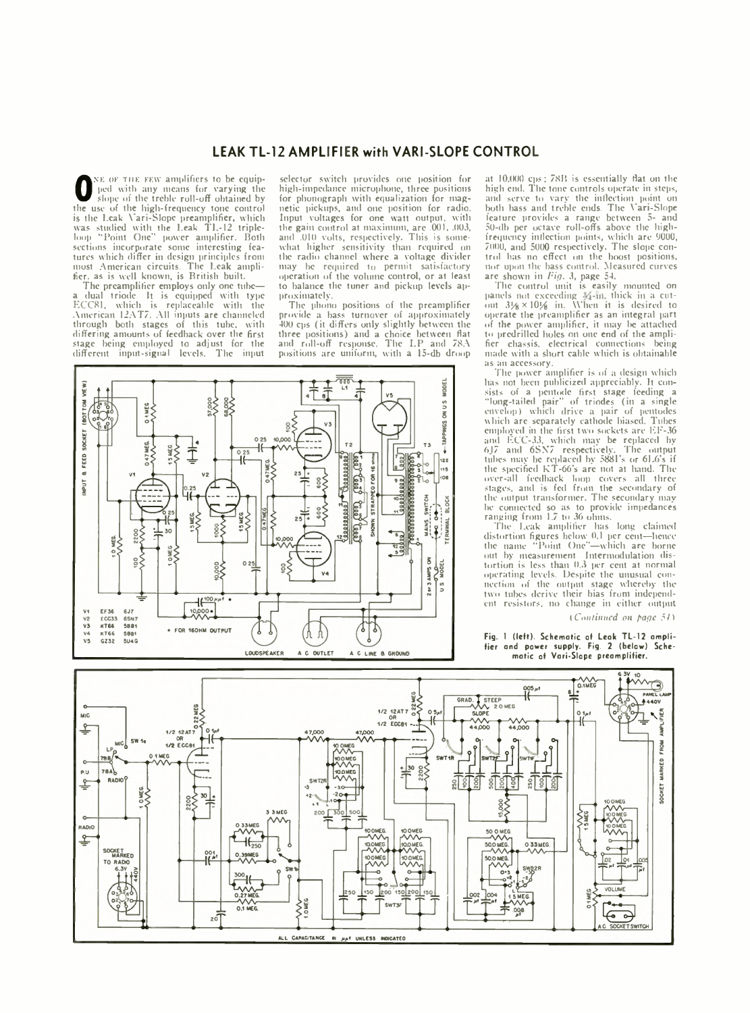## **LEAK TL-12 AMPLIFIER with VARI-SLOPE CONTROL**

**O** slope of the treble roll-off obtained by<br>the use of the high-frequency tone control no<br>sis the Leak Vari-Slope preamplifier, which It<br>was studied with the Leak TL-12 triple-<br>loop "Point One" power amplifier. Both an<br>se NE OF THE FEW amplifiers to be equipped with any means for varying the slope of the treble roll-off obtained by tures which differ in design principles from most American circuits. The Leak ampli-fier. as is well known, is British built.

The preamplifier employs only one tube—<br>a dual triode. It is equipped with type<br>ECC81, which is replaceable with the<br>American 12AT7. All inputs are channeled through both stages of this tube, with differing amounts of feedback over the first stage being employed to adjust for the different input-signal levels. The input

selector switch provides one position for high-impedance microphone, three positions for phonograph with equalization for magnetic pickups, and one position for radio. Input voltages for one watt output, with the gain control at maximum, are .001, .003, and .010 volts, respectively. This is somewhat higher sensitivity than required on the radio channel where a voltage divider may be required to permit satisfactory operation of the volume control, or at least to balance the tuner and pickup levels approximately.

The phono positions of the preamplifier provide a bass turnover of approximately 400 cps (it differs only slightly between the three positions) and a choice between flat and roll-off response. The LP and 78A positions are uniform, with a 15-db droop



at 10,000 cps; 7XR is essentially flat on the high end. The tone controls operate in steps, and serve to vary the inflection point on both bass and treble ends. The Vari-Slope feature provides a range between 5- and 50-db per octave roll-offs above the highfrequency inflection points, which are 9000, 7000, and 5000 respectively. The slope control has no effect on the boost positions, nor upon the bass control. Measured curves are shown in *Fig.* 3, page 54.

The control unit is easily mounted on panels not exceeding  $\frac{1}{4}$ -in, thick in a cut-<br>out  $3\frac{1}{6} \times 10\frac{1}{6}$  in. When it is desired to operate the preamplifier as an integral part of the power amplifier, it may be attached to predrilled holes on one end of the amplifier chassis, electrical connections being made with a short cable which is obtainable as an accessory.

The power amplifier is of a design which lias not been publicized appreciably. It consists of a pentode first stage feeding a<br>"long-tailed pair" of triodes (in a single<br>envelop) which arc separately cathode biased. Tubes<br>which are separately cathode biased. Tubes<br>employed in the first two sockets are EF-36 and ECC-33, which may be replaced by<br>6J7 and 6SN7 respectively. The output<br>tubes may be replaced by 5881's or 6L6's if the specified KT-66's are not at hand. The over-all feedback loop covers all three stages, and is fed from the secondary of the output transformer. The secondary may he connected so as to provide impedances ranging from 1.7 to 36 ohms.

The Leak amplifier has long claimed distortion figures below 0.1 per cent—hence the name "Point One"—which are borne out by measurement. Intermodulation distortion is less than 0.3 per cent at normal operating levels. Despite the unusual connection of the output stage whereby the two tubes derive their bias from independent resistors, no change in either output

*[Continued on page 54)*

Fig. 1 (left). Schematic of Leak TL-12 amplifier and power supply. Fig. 2 (below) Schematic of Vari-Slope preamplifier.